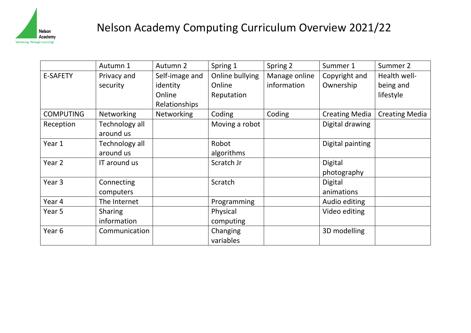

## Nelson Academy Computing Curriculum Overview 2021/22

|                   | Autumn 1       | Autumn 2       | Spring 1        | Spring 2      | Summer 1              | Summer 2              |
|-------------------|----------------|----------------|-----------------|---------------|-----------------------|-----------------------|
| <b>E-SAFETY</b>   | Privacy and    | Self-image and | Online bullying | Manage online | Copyright and         | Health well-          |
|                   | security       | identity       | Online          | information   | Ownership             | being and             |
|                   |                | Online         | Reputation      |               |                       | lifestyle             |
|                   |                | Relationships  |                 |               |                       |                       |
| <b>COMPUTING</b>  | Networking     | Networking     | Coding          | Coding        | <b>Creating Media</b> | <b>Creating Media</b> |
| Reception         | Technology all |                | Moving a robot  |               | Digital drawing       |                       |
|                   | around us      |                |                 |               |                       |                       |
| Year 1            | Technology all |                | Robot           |               | Digital painting      |                       |
|                   | around us      |                | algorithms      |               |                       |                       |
| Year <sub>2</sub> | IT around us   |                | Scratch Jr      |               | Digital               |                       |
|                   |                |                |                 |               | photography           |                       |
| Year <sub>3</sub> | Connecting     |                | Scratch         |               | Digital               |                       |
|                   | computers      |                |                 |               | animations            |                       |
| Year 4            | The Internet   |                | Programming     |               | Audio editing         |                       |
| Year 5            | <b>Sharing</b> |                | Physical        |               | Video editing         |                       |
|                   | information    |                | computing       |               |                       |                       |
| Year 6            | Communication  |                | Changing        |               | 3D modelling          |                       |
|                   |                |                | variables       |               |                       |                       |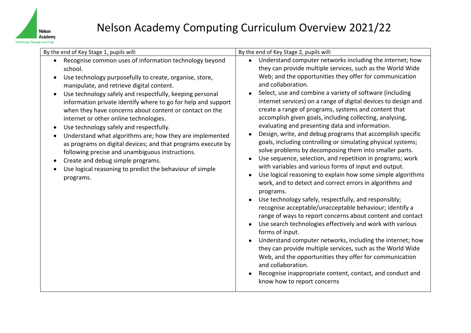

| By the end of Key Stage 1, pupils will:                                                                                                                                                                                                                                                                                                                                                                                                                                                                                                                                                                                                                                                                                                             | By the end of Key Stage 2, pupils will:                                                                                                                                                                                                                                                                                                                                                                                                                                                                                                                                                                                                                                                                                                                                                                                                                                                                                                                                                                                                                                                                                                                                                                                                                                                                                                                                                                                                                                                                                                                   |  |  |
|-----------------------------------------------------------------------------------------------------------------------------------------------------------------------------------------------------------------------------------------------------------------------------------------------------------------------------------------------------------------------------------------------------------------------------------------------------------------------------------------------------------------------------------------------------------------------------------------------------------------------------------------------------------------------------------------------------------------------------------------------------|-----------------------------------------------------------------------------------------------------------------------------------------------------------------------------------------------------------------------------------------------------------------------------------------------------------------------------------------------------------------------------------------------------------------------------------------------------------------------------------------------------------------------------------------------------------------------------------------------------------------------------------------------------------------------------------------------------------------------------------------------------------------------------------------------------------------------------------------------------------------------------------------------------------------------------------------------------------------------------------------------------------------------------------------------------------------------------------------------------------------------------------------------------------------------------------------------------------------------------------------------------------------------------------------------------------------------------------------------------------------------------------------------------------------------------------------------------------------------------------------------------------------------------------------------------------|--|--|
| Recognise common uses of information technology beyond<br>school.<br>Use technology purposefully to create, organise, store,<br>manipulate, and retrieve digital content.<br>Use technology safely and respectfully, keeping personal<br>information private identify where to go for help and support<br>when they have concerns about content or contact on the<br>internet or other online technologies.<br>Use technology safely and respectfully.<br>Understand what algorithms are; how they are implemented<br>as programs on digital devices; and that programs execute by<br>following precise and unambiguous instructions.<br>Create and debug simple programs.<br>Use logical reasoning to predict the behaviour of simple<br>programs. | Understand computer networks including the internet; how<br>$\bullet$<br>they can provide multiple services, such as the World Wide<br>Web; and the opportunities they offer for communication<br>and collaboration.<br>Select, use and combine a variety of software (including<br>internet services) on a range of digital devices to design and<br>create a range of programs, systems and content that<br>accomplish given goals, including collecting, analysing,<br>evaluating and presenting data and information.<br>Design, write, and debug programs that accomplish specific<br>goals, including controlling or simulating physical systems;<br>solve problems by decomposing them into smaller parts.<br>Use sequence, selection, and repetition in programs; work<br>with variables and various forms of input and output.<br>Use logical reasoning to explain how some simple algorithms<br>work, and to detect and correct errors in algorithms and<br>programs.<br>Use technology safely, respectfully, and responsibly;<br>recognise acceptable/unacceptable behaviour; identify a<br>range of ways to report concerns about content and contact<br>Use search technologies effectively and work with various<br>forms of input.<br>Understand computer networks, including the internet; how<br>they can provide multiple services, such as the World Wide<br>Web, and the opportunities they offer for communication<br>and collaboration.<br>Recognise inappropriate content, contact, and conduct and<br>know how to report concerns |  |  |